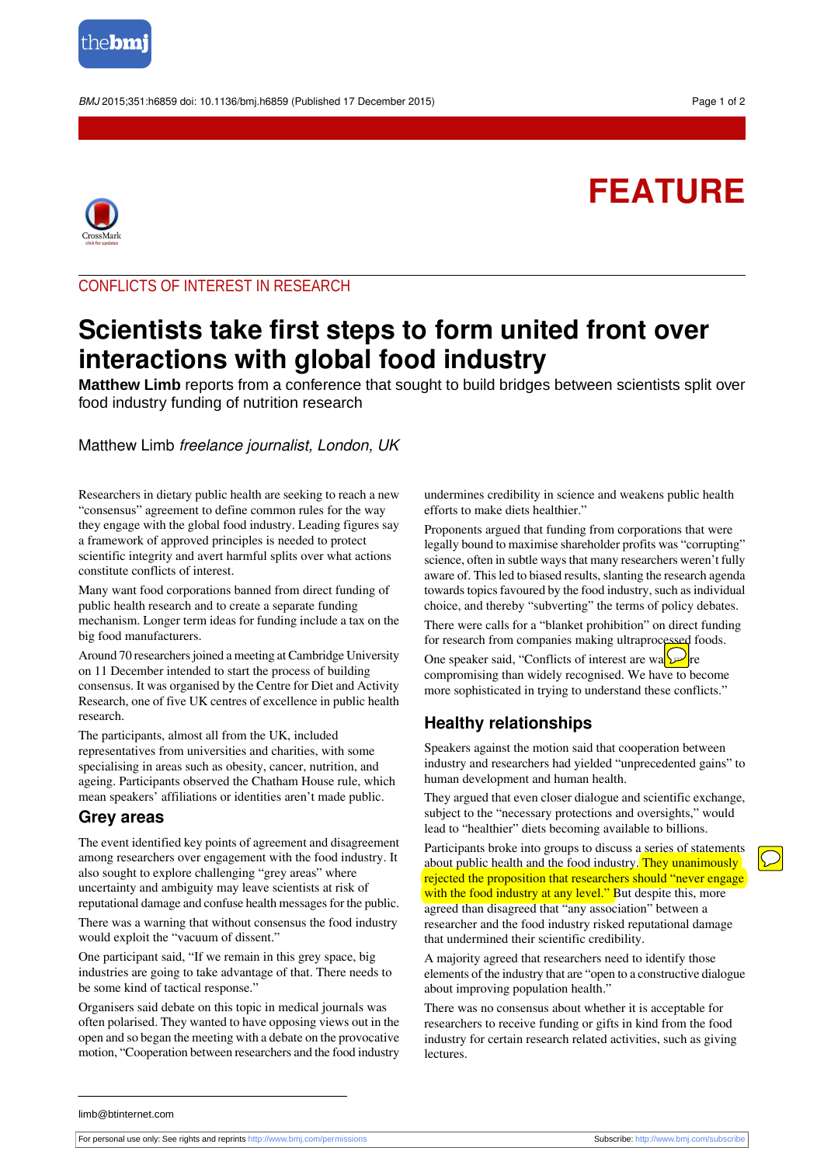

BMJ 2015:351:h6859 doi: 10.1136/bmi.h6859 (Published 17 December 2015) Page 1 of 2

# **FEATURE**



CONFLICTS OF INTEREST IN RESEARCH

# **Scientists take first steps to form united front over interactions with global food industry**

**Matthew Limb** reports from a conference that sought to build bridges between scientists split over food industry funding of nutrition research

## Matthew Limb freelance journalist, London, UK

Researchers in dietary public health are seeking to reach a new "consensus" agreement to define common rules for the way they engage with the global food industry. Leading figures say a framework of approved principles is needed to protect scientific integrity and avert harmful splits over what actions constitute conflicts of interest.

Many want food corporations banned from direct funding of public health research and to create a separate funding mechanism. Longer term ideas for funding include a tax on the big food manufacturers.

Around 70 researchers joined a meeting at Cambridge University on 11 December intended to start the process of building consensus. It was organised by the Centre for Diet and Activity Research, one of five UK centres of excellence in public health research.

The participants, almost all from the UK, included representatives from universities and charities, with some specialising in areas such as obesity, cancer, nutrition, and ageing. Participants observed the Chatham House rule, which mean speakers' affiliations or identities aren't made public.

#### **Grey areas**

The event identified key points of agreement and disagreement among researchers over engagement with the food industry. It also sought to explore challenging "grey areas" where uncertainty and ambiguity may leave scientists at risk of reputational damage and confuse health messages for the public.

There was a warning that without consensus the food industry would exploit the "vacuum of dissent."

One participant said, "If we remain in this grey space, big industries are going to take advantage of that. There needs to be some kind of tactical response."

Organisers said debate on this topic in medical journals was often polarised. They wanted to have opposing views out in the open and so began the meeting with a debate on the provocative motion, "Cooperation between researchers and the food industry

undermines credibility in science and weakens public health efforts to make diets healthier."

Proponents argued that funding from corporations that were legally bound to maximise shareholder profits was "corrupting" science, often in subtle ways that many researchers weren't fully aware of. This led to biased results, slanting the research agenda towards topics favoured by the food industry, such as individual choice, and thereby "subverting" the terms of policy debates.

There were calls for a "blanket prohibition" on direct funding for research from companies making ultraprocessed foods.

One speaker said, "Conflicts of interest are wa $\sqrt{\sqrt{2}}$ re compromising than widely recognised. We have to become more sophisticated in trying to understand these conflicts."

# **Healthy relationships**

Speakers against the motion said that cooperation between industry and researchers had yielded "unprecedented gains" to human development and human health.

They argued that even closer dialogue and scientific exchange, subject to the "necessary protections and oversights," would lead to "healthier" diets becoming available to billions.

Participants broke into groups to discuss a series of statements about public health and the food industry. They unanimously rejected the proposition that researchers should "never engage with the food industry at any level." But despite this, more agreed than disagreed that "any association" between a researcher and the food industry risked reputational damage that undermined their scientific credibility.

A majority agreed that researchers need to identify those elements of the industry that are "open to a constructive dialogue about improving population health."

There was no consensus about whether it is acceptable for researchers to receive funding or gifts in kind from the food industry for certain research related activities, such as giving lectures.

limb@btinternet.com